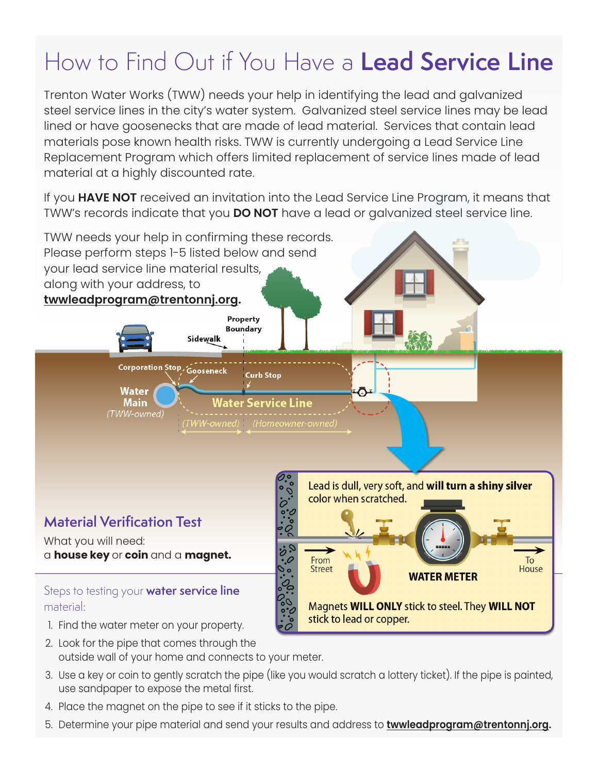## How to Find Out if You Have a **Lead Service Line**

Trenton Water Works (TWW) needs your help in identifying the lead and galvanized steel service lines in the city's water system. Galvanized steel service lines may be lead lined or have goosenecks that are made of lead material. Services that contain lead materials pose known health risks. TWW is currently undergoing a Lead Service Line Replacement Program which offers limited replacement of service lines made of lead material at a highly discounted rate.

If you **HAVE NOT** received an invitation into the Lead Service Line Program, it means that TWW's records indicate that you **DO NOT** have a lead or galvanized steel service line.



- 2. Look for the pipe that comes through the outside wall of your home and connects to your meter.
- 3. Use a key or coin to gently scratch the pipe (like you would scratch a lottery ticket). If the pipe is painted, use sandpaper to expose the metal first.
- 4. Place the magnet on the pipe to see if it sticks to the pipe.
- 5. Determine your pipe material and send your results and address to **twwleadprogram@trentonnj.org.**